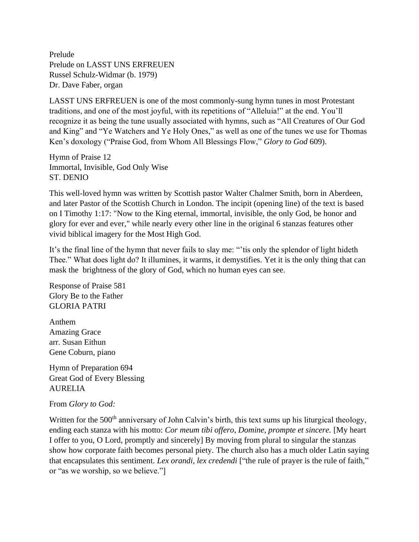Prelude Prelude on LASST UNS ERFREUEN Russel Schulz-Widmar (b. 1979) Dr. Dave Faber, organ

LASST UNS ERFREUEN is one of the most commonly-sung hymn tunes in most Protestant traditions, and one of the most joyful, with its repetitions of "Alleluia!" at the end. You'll recognize it as being the tune usually associated with hymns, such as "All Creatures of Our God and King" and "Ye Watchers and Ye Holy Ones," as well as one of the tunes we use for Thomas Ken's doxology ("Praise God, from Whom All Blessings Flow," *Glory to God* 609).

Hymn of Praise 12 Immortal, Invisible, God Only Wise ST. DENIO

This well-loved hymn was written by Scottish pastor Walter Chalmer Smith, born in Aberdeen, and later Pastor of the Scottish Church in London. The incipit (opening line) of the text is based on I Timothy 1:17: "Now to the King eternal, immortal, invisible, the only God, be honor and glory for ever and ever," while nearly every other line in the original 6 stanzas features other vivid biblical imagery for the Most High God.

It's the final line of the hymn that never fails to slay me: "'tis only the splendor of light hideth Thee." What does light do? It illumines, it warms, it demystifies. Yet it is the only thing that can mask the brightness of the glory of God, which no human eyes can see.

Response of Praise 581 Glory Be to the Father GLORIA PATRI

Anthem Amazing Grace arr. Susan Eithun Gene Coburn, piano

Hymn of Preparation 694 Great God of Every Blessing AURELIA

## From *Glory to God:*

Written for the 500<sup>th</sup> anniversary of John Calvin's birth, this text sums up his liturgical theology, ending each stanza with his motto: *Cor meum tibi offero, Domine, prompte et sincere.* [My heart I offer to you, O Lord, promptly and sincerely] By moving from plural to singular the stanzas show how corporate faith becomes personal piety. The church also has a much older Latin saying that encapsulates this sentiment. *Lex orandi, lex credendi* ["the rule of prayer is the rule of faith," or "as we worship, so we believe."]